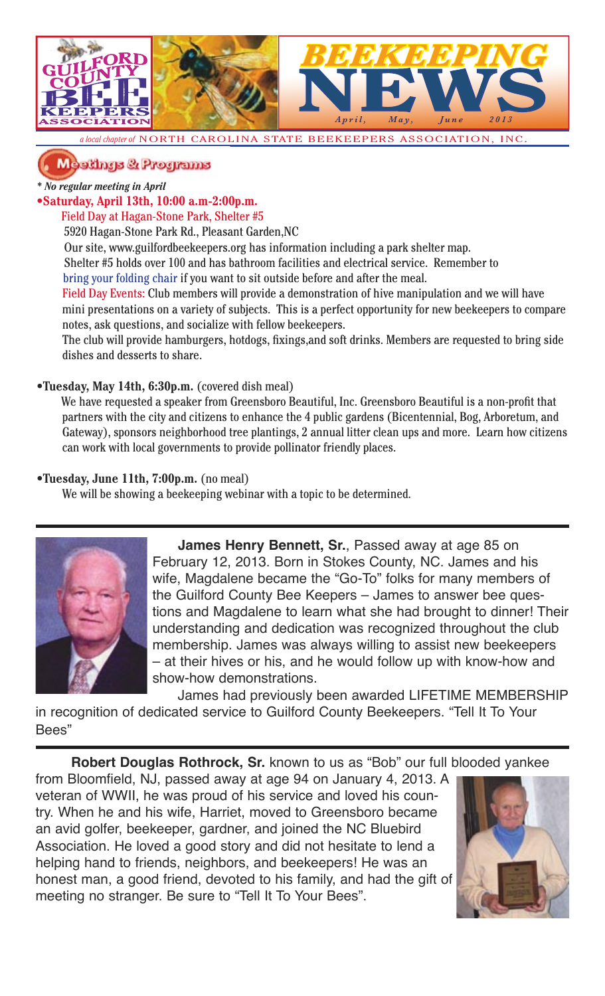

*chapter of* **NORTH CAROLINA STATE BEEKEEPERS ASSOCIATION, INC.** 

### Meetings & Programs

*\* No regular meeting in April*

**•Saturday, April 13th, 10:00 a.m-2:00p.m.**

#### Field Day at Hagan-Stone Park, Shelter #5

5920 Hagan-Stone Park Rd., Pleasant Garden,NC

Our site, www.guilfordbeekeepers.org has information including a park shelter map.

 Shelter #5 holds over 100 and has bathroom facilities and electrical service. Remember to bring your folding chair if you want to sit outside before and after the meal.

Field Day Events: Club members will provide a demonstration of hive manipulation and we will have mini presentations on a variety of subjects. This is a perfect opportunity for new beekeepers to compare notes, ask questions, and socialize with fellow beekeepers.

The club will provide hamburgers, hotdogs, fixings, and soft drinks. Members are requested to bring side dishes and desserts to share.

#### **•Tuesday, May 14th, 6:30p.m.** (covered dish meal)

We have requested a speaker from Greensboro Beautiful, Inc. Greensboro Beautiful is a non-profit that partners with the city and citizens to enhance the 4 public gardens (Bicentennial, Bog, Arboretum, and Gateway), sponsors neighborhood tree plantings, 2 annual litter clean ups and more. Learn how citizens can work with local governments to provide pollinator friendly places.

#### **•Tuesday, June 11th, 7:00p.m.** (no meal)

We will be showing a beekeeping webinar with a topic to be determined.



**James Henry Bennett, Sr.**, Passed away at age 85 on February 12, 2013. Born in Stokes County, NC. James and his wife, Magdalene became the "Go-To" folks for many members of the Guilford County Bee Keepers – James to answer bee questions and Magdalene to learn what she had brought to dinner! Their understanding and dedication was recognized throughout the club membership. James was always willing to assist new beekeepers – at their hives or his, and he would follow up with know-how and show-how demonstrations.

James had previously been awarded LIFETIME MEMBERSHIP in recognition of dedicated service to Guilford County Beekeepers. "Tell It To Your Bees"

**Robert Douglas Rothrock, Sr.** known to us as "Bob" our full blooded yankee

from Bloomfield, NJ, passed away at age 94 on January 4, 2013. A veteran of WWII, he was proud of his service and loved his country. When he and his wife, Harriet, moved to Greensboro became an avid golfer, beekeeper, gardner, and joined the NC Bluebird Association. He loved a good story and did not hesitate to lend a helping hand to friends, neighbors, and beekeepers! He was an honest man, a good friend, devoted to his family, and had the gift of meeting no stranger. Be sure to "Tell It To Your Bees".

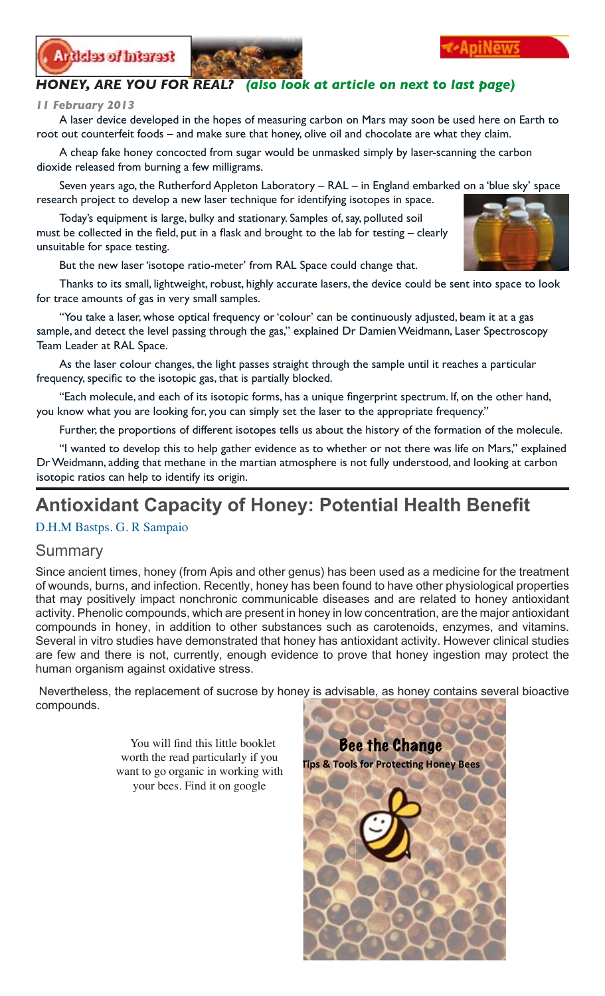



#### *HONEY, ARE YOU FOR REAL? (also look at article on next to last page)*

#### *11 February 2013*

A laser device developed in the hopes of measuring carbon on Mars may soon be used here on Earth to root out counterfeit foods – and make sure that honey, olive oil and chocolate are what they claim.

A cheap fake honey concocted from sugar would be unmasked simply by laser-scanning the carbon dioxide released from burning a few milligrams.

Seven years ago, the Rutherford Appleton Laboratory – RAL – in England embarked on a 'blue sky' space research project to develop a new laser technique for identifying isotopes in space.

Today's equipment is large, bulky and stationary. Samples of, say, polluted soil must be collected in the field, put in a flask and brought to the lab for testing – clearly unsuitable for space testing.

But the new laser 'isotope ratio-meter' from RAL Space could change that.

Thanks to its small, lightweight, robust, highly accurate lasers, the device could be sent into space to look for trace amounts of gas in very small samples.

"You take a laser, whose optical frequency or 'colour' can be continuously adjusted, beam it at a gas sample, and detect the level passing through the gas," explained Dr Damien Weidmann, Laser Spectroscopy Team Leader at RAL Space.

As the laser colour changes, the light passes straight through the sample until it reaches a particular frequency, specific to the isotopic gas, that is partially blocked.

"Each molecule, and each of its isotopic forms, has a unique fingerprint spectrum. If, on the other hand, you know what you are looking for, you can simply set the laser to the appropriate frequency."

Further, the proportions of different isotopes tells us about the history of the formation of the molecule.

"I wanted to develop this to help gather evidence as to whether or not there was life on Mars," explained Dr Weidmann, adding that methane in the martian atmosphere is not fully understood, and looking at carbon isotopic ratios can help to identify its origin.

## **Antioxidant Capacity of Honey: Potential Health Benefit**

#### D.H.M Bastps. G. R Sampaio

#### Summary

Since ancient times, honey (from Apis and other genus) has been used as a medicine for the treatment of wounds, burns, and infection. Recently, honey has been found to have other physiological properties that may positively impact nonchronic communicable diseases and are related to honey antioxidant activity. Phenolic compounds, which are present in honey in low concentration, are the major antioxidant compounds in honey, in addition to other substances such as carotenoids, enzymes, and vitamins. Several in vitro studies have demonstrated that honey has antioxidant activity. However clinical studies are few and there is not, currently, enough evidence to prove that honey ingestion may protect the human organism against oxidative stress.

 Nevertheless, the replacement of sucrose by honey is advisable, as honey contains several bioactive compounds.

> You will find this little booklet worth the read particularly if you want to go organic in working with your bees. Find it on google



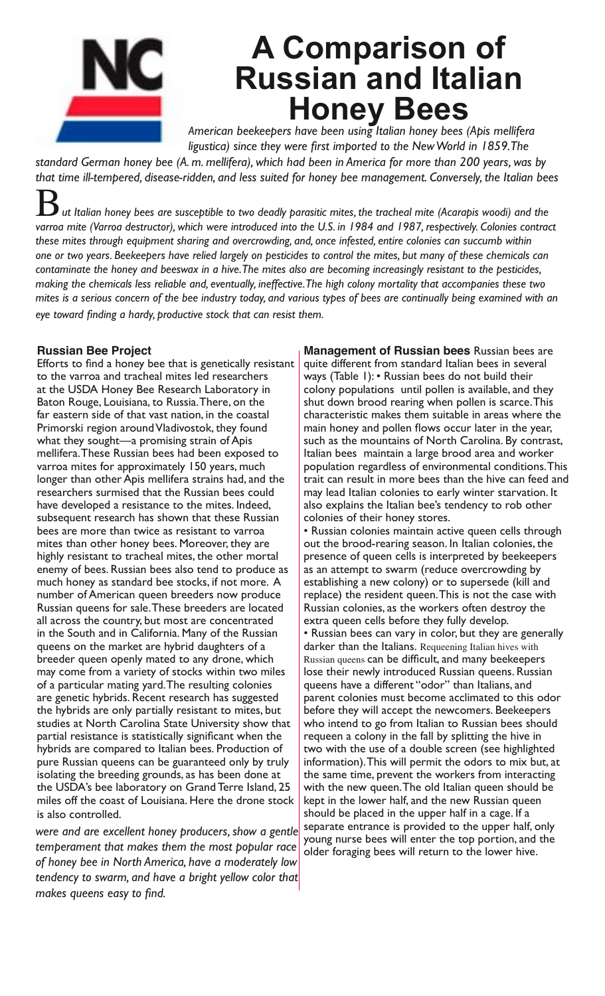

## **A Comparison of Russian and Italian Honey Bees**

*American beekeepers have been using Italian honey bees (Apis mellifera ligustica) since they were first imported to the New World in 1859. The* 

*standard German honey bee (A. m. mellifera), which had been in America for more than 200 years, was by that time ill-tempered, disease-ridden, and less suited for honey bee management. Conversely, the Italian bees* 

B*ut Italian honey bees are susceptible to two deadly parasitic mites, the tracheal mite (Acarapis woodi) and the varroa mite (Varroa destructor), which were introduced into the U.S. in 1984 and 1987, respectively. Colonies contract these mites through equipment sharing and overcrowding, and, once infested, entire colonies can succumb within one or two years. Beekeepers have relied largely on pesticides to control the mites, but many of these chemicals can contaminate the honey and beeswax in a hive. The mites also are becoming increasingly resistant to the pesticides, making the chemicals less reliable and, eventually, ineffective. The high colony mortality that accompanies these two mites is a serious concern of the bee industry today, and various types of bees are continually being examined with an eye toward finding a hardy, productive stock that can resist them.*

#### **Russian Bee Project**

Efforts to find a honey bee that is genetically resistant to the varroa and tracheal mites led researchers at the USDA Honey Bee Research Laboratory in Baton Rouge, Louisiana, to Russia. There, on the far eastern side of that vast nation, in the coastal Primorski region around Vladivostok, they found what they sought—a promising strain of Apis mellifera. These Russian bees had been exposed to varroa mites for approximately 150 years, much longer than other Apis mellifera strains had, and the researchers surmised that the Russian bees could have developed a resistance to the mites. Indeed, subsequent research has shown that these Russian bees are more than twice as resistant to varroa mites than other honey bees. Moreover, they are highly resistant to tracheal mites, the other mortal enemy of bees. Russian bees also tend to produce as much honey as standard bee stocks, if not more. A number of American queen breeders now produce Russian queens for sale. These breeders are located all across the country, but most are concentrated in the South and in California. Many of the Russian queens on the market are hybrid daughters of a breeder queen openly mated to any drone, which may come from a variety of stocks within two miles of a particular mating yard. The resulting colonies are genetic hybrids. Recent research has suggested the hybrids are only partially resistant to mites, but studies at North Carolina State University show that partial resistance is statistically significant when the hybrids are compared to Italian bees. Production of pure Russian queens can be guaranteed only by truly isolating the breeding grounds, as has been done at the USDA's bee laboratory on Grand Terre Island, 25 miles off the coast of Louisiana. Here the drone stock is also controlled.

*were and are excellent honey producers, show a gentle temperament that makes them the most popular race of honey bee in North America, have a moderately low tendency to swarm, and have a bright yellow color that makes queens easy to find.* 

**Management of Russian bees** Russian bees are quite different from standard Italian bees in several ways (Table 1): • Russian bees do not build their colony populations until pollen is available, and they shut down brood rearing when pollen is scarce. This characteristic makes them suitable in areas where the main honey and pollen flows occur later in the year, such as the mountains of North Carolina. By contrast, Italian bees maintain a large brood area and worker population regardless of environmental conditions. This trait can result in more bees than the hive can feed and may lead Italian colonies to early winter starvation. It also explains the Italian bee's tendency to rob other colonies of their honey stores.

• Russian colonies maintain active queen cells through out the brood-rearing season. In Italian colonies, the presence of queen cells is interpreted by beekeepers as an attempt to swarm (reduce overcrowding by establishing a new colony) or to supersede (kill and replace) the resident queen. This is not the case with Russian colonies, as the workers often destroy the extra queen cells before they fully develop. • Russian bees can vary in color, but they are generally darker than the Italians. Requeening Italian hives with Russian queens can be difficult, and many beekeepers lose their newly introduced Russian queens. Russian queens have a different "odor" than Italians, and parent colonies must become acclimated to this odor before they will accept the newcomers. Beekeepers who intend to go from Italian to Russian bees should requeen a colony in the fall by splitting the hive in two with the use of a double screen (see highlighted information). This will permit the odors to mix but, at the same time, prevent the workers from interacting with the new queen. The old Italian queen should be kept in the lower half, and the new Russian queen should be placed in the upper half in a cage. If a separate entrance is provided to the upper half, only young nurse bees will enter the top portion, and the older foraging bees will return to the lower hive.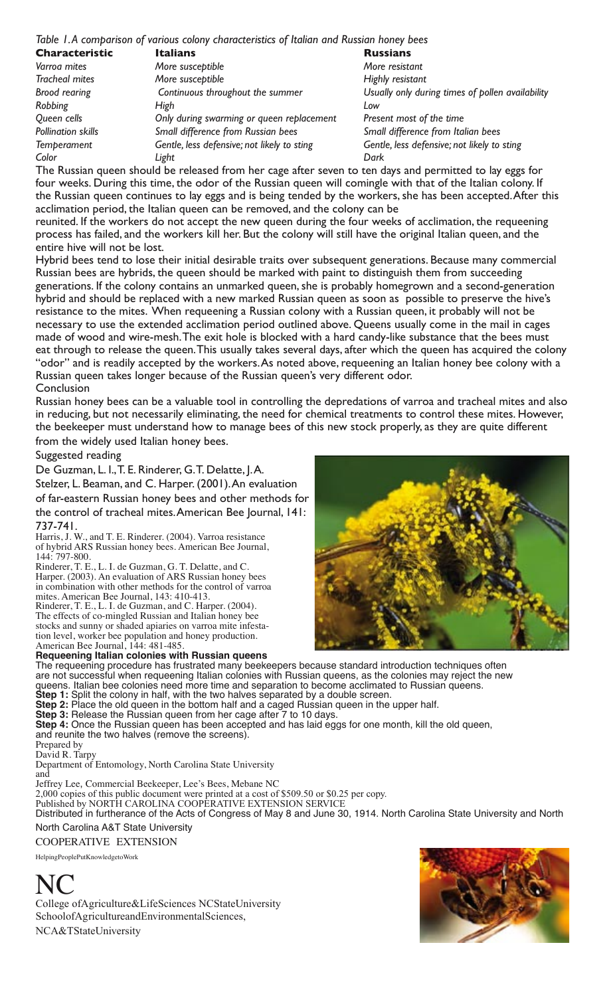#### *Table 1. A comparison of various colony characteristics of Italian and Russian honey bees*

| Characteristic        | <b>Italians</b>                                                                                                                                                                                                                          | <b>Russians</b>                             |
|-----------------------|------------------------------------------------------------------------------------------------------------------------------------------------------------------------------------------------------------------------------------------|---------------------------------------------|
| Varroa mites          | More susceptible                                                                                                                                                                                                                         | More resistant                              |
| <b>Tracheal mites</b> | More susceptible                                                                                                                                                                                                                         | Highly resistant                            |
| <b>Brood rearing</b>  | Continuous throughout the summer                                                                                                                                                                                                         | Usually only during times of pollen avail   |
| Robbing               | High                                                                                                                                                                                                                                     | Low                                         |
| Queen cells           | Only during swarming or queen replacement                                                                                                                                                                                                | Present most of the time                    |
| Pollination skills    | Small difference from Russian bees                                                                                                                                                                                                       | Small difference from Italian bees          |
| <b>Temperament</b>    | Gentle, less defensive; not likely to sting                                                                                                                                                                                              | Gentle, less defensive; not likely to sting |
| Color                 | Light                                                                                                                                                                                                                                    | Dark                                        |
|                       | <del>t</del> in the second interest of the contract of the contract of the contract of the contract of the contract of the contract of the contract of the contract of the contract of the contract of the contract of the contract of t |                                             |

The Russian queen should be released from her cage after seven to ten days and permitted to lay eggs for four weeks. During this time, the odor of the Russian queen will comingle with that of the Italian colony. If the Russian queen continues to lay eggs and is being tended by the workers, she has been accepted. After this acclimation period, the Italian queen can be removed, and the colony can be

reunited. If the workers do not accept the new queen during the four weeks of acclimation, the requeening process has failed, and the workers kill her. But the colony will still have the original Italian queen, and the entire hive will not be lost.

Hybrid bees tend to lose their initial desirable traits over subsequent generations. Because many commercial Russian bees are hybrids, the queen should be marked with paint to distinguish them from succeeding generations. If the colony contains an unmarked queen, she is probably homegrown and a second-generation hybrid and should be replaced with a new marked Russian queen as soon as possible to preserve the hive's resistance to the mites. When requeening a Russian colony with a Russian queen, it probably will not be necessary to use the extended acclimation period outlined above. Queens usually come in the mail in cages made of wood and wire-mesh. The exit hole is blocked with a hard candy-like substance that the bees must eat through to release the queen. This usually takes several days, after which the queen has acquired the colony "odor" and is readily accepted by the workers. As noted above, requeening an Italian honey bee colony with a Russian queen takes longer because of the Russian queen's very different odor. Conclusion

Russian honey bees can be a valuable tool in controlling the depredations of varroa and tracheal mites and also in reducing, but not necessarily eliminating, the need for chemical treatments to control these mites. However, the beekeeper must understand how to manage bees of this new stock properly, as they are quite different from the widely used Italian honey bees.

Suggested reading

De Guzman, L. I., T. E. Rinderer, G. T. Delatte, J. A.

Stelzer, L. Beaman, and C. Harper. (2001). An evaluation of far-eastern Russian honey bees and other methods for the control of tracheal mites. American Bee Journal, 141: 737-741.

Harris, J. W., and T. E. Rinderer. (2004). Varroa resistance of hybrid ARS Russian honey bees. American Bee Journal, 144: 797-800.

Rinderer, T. E., L. I. de Guzman, G. T. Delatte, and C. Harper. (2003). An evaluation of ARS Russian honey bees in combination with other methods for the control of varroa mites. American Bee Journal, 143: 410-413.

Rinderer, T. E., L. I. de Guzman, and C. Harper. (2004). The effects of co-mingled Russian and Italian honey bee stocks and sunny or shaded apiaries on varroa mite infestation level, worker bee population and honey production. American Bee Journal, 144: 481-485.

#### **Requeening Italian colonies with Russian queens**

*Brood rearing Continuous throughout the summer Usually only during times of pollen availability* 

The requeening procedure has frustrated many beekeepers because standard introduction techniques often are not successful when requeening Italian colonies with Russian queens, as the colonies may reject the new queens. Italian bee colonies need more time and separation to become acclimated to Russian queens. **Step 1:** Split the colony in half, with the two halves separated by a double screen.

**Step 2:** Place the old queen in the bottom half and a caged Russian queen in the upper half.

**Step 3:** Release the Russian queen from her cage after 7 to 10 days.

**Step 4:** Once the Russian queen has been accepted and has laid eggs for one month, kill the old queen, and reunite the two halves (remove the screens).

Prepared by

David R. Tarpy

Department of Entomology, North Carolina State University and

Jeffrey Lee, Commercial Beekeeper, Lee's Bees, Mebane NC

2,000 copies of this public document were printed at a cost of \$509.50 or \$0.25 per copy.

Published by NORTH CAROLINA COOPERATIVE EXTENSION SERVICE

Distributed in furtherance of the Acts of Congress of May 8 and June 30, 1914. North Carolina State University and North North Carolina A&T State University

COOPERATIVE EXTENSION

HelpingPeoplePutKnowledgetoWork



College ofAgriculture&LifeSciences NCStateUniversity SchoolofAgricultureandEnvironmentalSciences, NCA&TStateUniversity

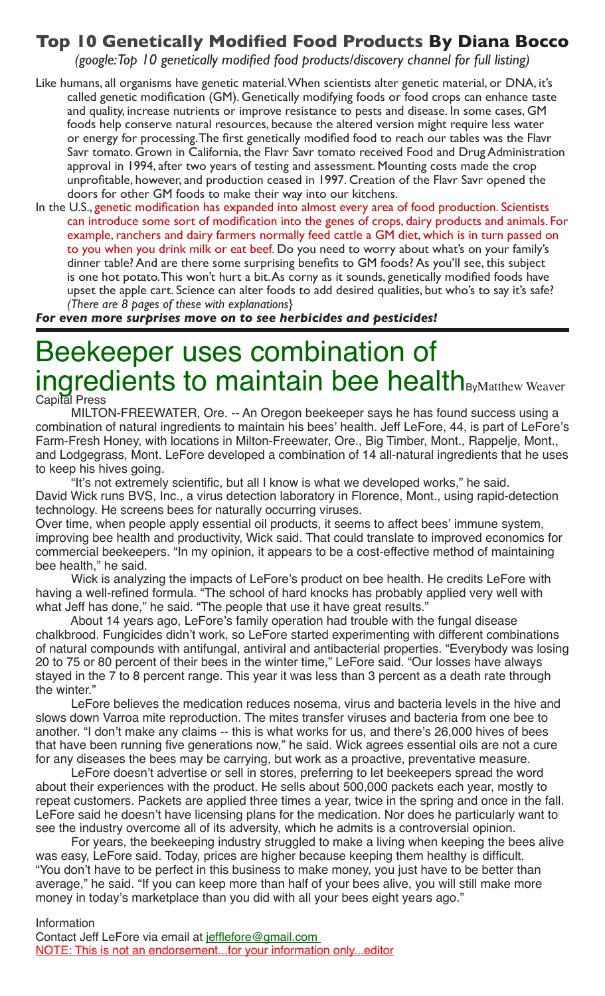## **Top 10 Genetically Modified Food Products By Diana Bocco**

*(google: Top 10 genetically modified food products/discovery channel for full listing)*

- Like humans, all organisms have genetic material. When scientists alter genetic material, or DNA, it's called genetic modification (GM). Genetically modifying foods or food crops can enhance taste and quality, increase nutrients or improve resistance to pests and disease. In some cases, GM foods help conserve natural resources, because the altered version might require less water or energy for processing. The first genetically modified food to reach our tables was the Flavr Savr tomato. Grown in California, the Flavr Savr tomato received Food and Drug Administration approval in 1994, after two years of testing and assessment. Mounting costs made the crop unprofitable, however, and production ceased in 1997. Creation of the Flavr Savr opened the doors for other GM foods to make their way into our kitchens.
- In the U.S., genetic modification has expanded into almost every area of food production. Scientists can introduce some sort of modification into the genes of crops, dairy products and animals. For example, ranchers and dairy farmers normally feed cattle a GM diet, which is in turn passed on to you when you drink milk or eat beef. Do you need to worry about what's on your family's dinner table? And are there some surprising benefits to GM foods? As you'll see, this subject is one hot potato. This won't hurt a bit. As corny as it sounds, genetically modified foods have upset the apple cart. Science can alter foods to add desired qualities, but who's to say it's safe? *(There are 8 pages of these with explanations}*

*For even more surprises move on to see herbicides and pesticides!*

## Beekeeper uses combination of ingredients to maintain bee health<sub>ByMatthew Weaver</sub>

Capital Press

MILTON-FREEWATER, Ore. -- An Oregon beekeeper says he has found success using a combination of natural ingredients to maintain his bees' health. Jeff LeFore, 44, is part of LeFore's Farm-Fresh Honey, with locations in Milton-Freewater, Ore., Big Timber, Mont., Rappelje, Mont., and Lodgegrass, Mont. LeFore developed a combination of 14 all-natural ingredients that he uses to keep his hives going.

"It's not extremely scientific, but all I know is what we developed works," he said. David Wick runs BVS, Inc., a virus detection laboratory in Florence, Mont., using rapid-detection technology. He screens bees for naturally occurring viruses.

Over time, when people apply essential oil products, it seems to affect bees' immune system, improving bee health and productivity, Wick said. That could translate to improved economics for commercial beekeepers. "In my opinion, it appears to be a cost-effective method of maintaining bee health," he said.

Wick is analyzing the impacts of LeFore's product on bee health. He credits LeFore with having a well-refined formula. "The school of hard knocks has probably applied very well with what Jeff has done," he said. "The people that use it have great results."

About 14 years ago, LeFore's family operation had trouble with the fungal disease chalkbrood. Fungicides didn't work, so LeFore started experimenting with different combinations of natural compounds with antifungal, antiviral and antibacterial properties. "Everybody was losing 20 to 75 or 80 percent of their bees in the winter time," LeFore said. "Our losses have always stayed in the 7 to 8 percent range. This year it was less than 3 percent as a death rate through the winter."

LeFore believes the medication reduces nosema, virus and bacteria levels in the hive and slows down Varroa mite reproduction. The mites transfer viruses and bacteria from one bee to another. "I don't make any claims -- this is what works for us, and there's 26,000 hives of bees that have been running five generations now," he said. Wick agrees essential oils are not a cure for any diseases the bees may be carrying, but work as a proactive, preventative measure.

LeFore doesn't advertise or sell in stores, preferring to let beekeepers spread the word about their experiences with the product. He sells about 500,000 packets each year, mostly to repeat customers. Packets are applied three times a year, twice in the spring and once in the fall. LeFore said he doesn't have licensing plans for the medication. Nor does he particularly want to see the industry overcome all of its adversity, which he admits is a controversial opinion.

For years, the beekeeping industry struggled to make a living when keeping the bees alive was easy, LeFore said. Today, prices are higher because keeping them healthy is difficult. "You don't have to be perfect in this business to make money, you just have to be better than average," he said. "If you can keep more than half of your bees alive, you will still make more money in today's marketplace than you did with all your bees eight years ago."

Information

Contact Jeff LeFore via email at jefflefore@gmail.com NOTE: This is not an endorsement...for your information only...editor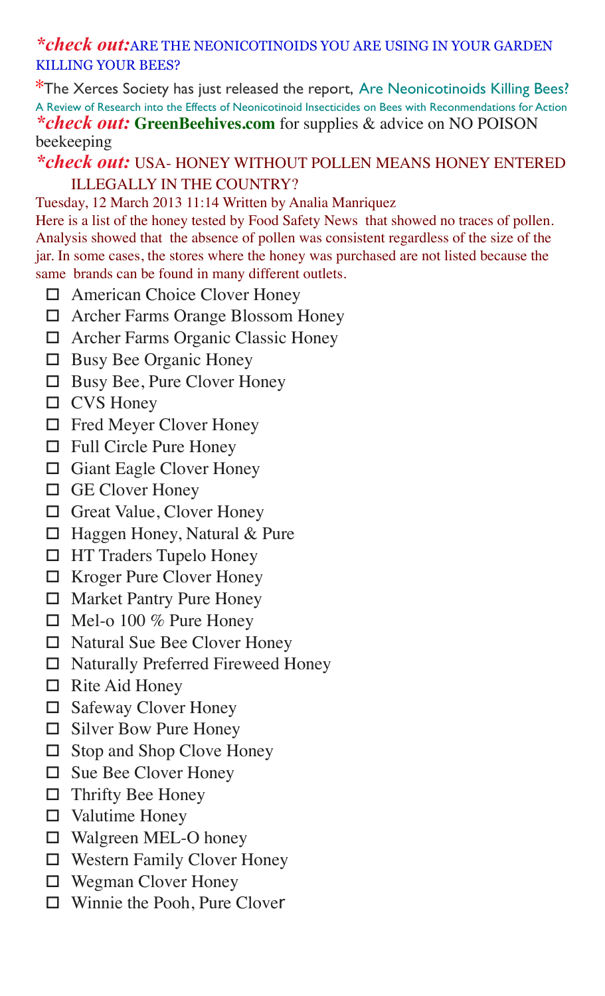## *\*check out:*ARE THE NEONICOTINOIDS YOU ARE USING IN YOUR GARDEN KILLING YOUR BEES?

\*The Xerces Society has just released the report, Are Neonicotinoids Killing Bees? A Review of Research into the Effects of Neonicotinoid Insecticides on Bees with Reconmendations for Action *\*check out:* **GreenBeehives.com** for supplies & advice on NO POISON beekeeping

## *\*check out:* USA- HONEY WITHOUT POLLEN MEANS HONEY ENTERED ILLEGALLY IN THE COUNTRY?

### Tuesday, 12 March 2013 11:14 Written by Analia Manriquez

Here is a list of the honey tested by Food Safety News that showed no traces of pollen. Analysis showed that the absence of pollen was consistent regardless of the size of the jar. In some cases, the stores where the honey was purchased are not listed because the same brands can be found in many different outlets.

- □ American Choice Clover Honey
- □ Archer Farms Orange Blossom Honey
- □ Archer Farms Organic Classic Honey
- $\Box$  Busy Bee Organic Honey
- $\Box$  Busy Bee, Pure Clover Honey
- $\Box$  CVS Honey
- □ Fred Meyer Clover Honey
- $\Box$  Full Circle Pure Honey
- $\Box$  Giant Eagle Clover Honey
- $\Box$  GE Clover Honey
- $\Box$  Great Value, Clover Honey
- □ Haggen Honey, Natural & Pure
- □ HT Traders Tupelo Honey
- $\Box$  Kroger Pure Clover Honey
- $\Box$  Market Pantry Pure Honey
- $\Box$  Mel-o 100 % Pure Honey
- □ Natural Sue Bee Clover Honey
- □ Naturally Preferred Fireweed Honey
- $\Box$  Rite Aid Honey
- $\Box$  Safeway Clover Honey
- $\Box$  Silver Bow Pure Honey
- □ Stop and Shop Clove Honey
- $\Box$  Sue Bee Clover Honey
- $\Box$  Thrifty Bee Honey
- $\Box$  Valutime Honey
- $\Box$  Walgreen MEL-O honey
- □ Western Family Clover Honey
- $\Box$  Wegman Clover Honey
- $\Box$  Winnie the Pooh, Pure Clover